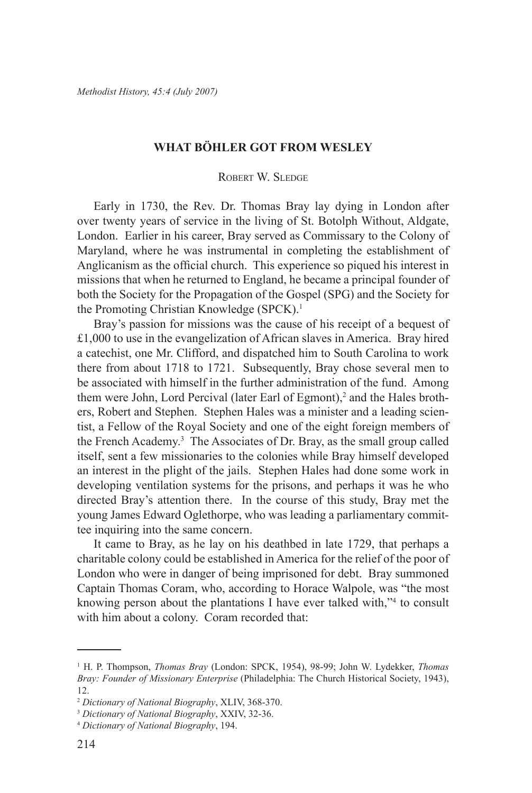## **What Böhler Got From Wesley**

## Robert W. Sledge

Early in 1730, the Rev. Dr. Thomas Bray lay dying in London after over twenty years of service in the living of St. Botolph Without, Aldgate, London. Earlier in his career, Bray served as Commissary to the Colony of Maryland, where he was instrumental in completing the establishment of Anglicanism as the official church. This experience so piqued his interest in missions that when he returned to England, he became a principal founder of both the Society for the Propagation of the Gospel (SPG) and the Society for the Promoting Christian Knowledge (SPCK).<sup>1</sup>

Bray's passion for missions was the cause of his receipt of a bequest of £1,000 to use in the evangelization of African slaves in America. Bray hired a catechist, one Mr. Clifford, and dispatched him to South Carolina to work there from about 1718 to 1721. Subsequently, Bray chose several men to be associated with himself in the further administration of the fund. Among them were John, Lord Percival (later Earl of Egmont),<sup>2</sup> and the Hales brothers, Robert and Stephen. Stephen Hales was a minister and a leading scientist, a Fellow of the Royal Society and one of the eight foreign members of the French Academy.<sup>3</sup> The Associates of Dr. Bray, as the small group called itself, sent a few missionaries to the colonies while Bray himself developed an interest in the plight of the jails. Stephen Hales had done some work in developing ventilation systems for the prisons, and perhaps it was he who directed Bray's attention there. In the course of this study, Bray met the young James Edward Oglethorpe, who was leading a parliamentary committee inquiring into the same concern.

It came to Bray, as he lay on his deathbed in late 1729, that perhaps a charitable colony could be established in America for the relief of the poor of London who were in danger of being imprisoned for debt. Bray summoned Captain Thomas Coram, who, according to Horace Walpole, was "the most knowing person about the plantations I have ever talked with,"<sup>4</sup> to consult with him about a colony. Coram recorded that:

<sup>1</sup> H. P. Thompson, *Thomas Bray* (London: SPCK, 1954), 98-99; John W. Lydekker, *Thomas Bray: Founder of Missionary Enterprise* (Philadelphia: The Church Historical Society, 1943), 12.

<sup>2</sup> *Dictionary of National Biography*, XLIV, 368-370.

<sup>3</sup> *Dictionary of National Biography*, XXIV, 32-36.

<sup>4</sup> *Dictionary of National Biography*, 194.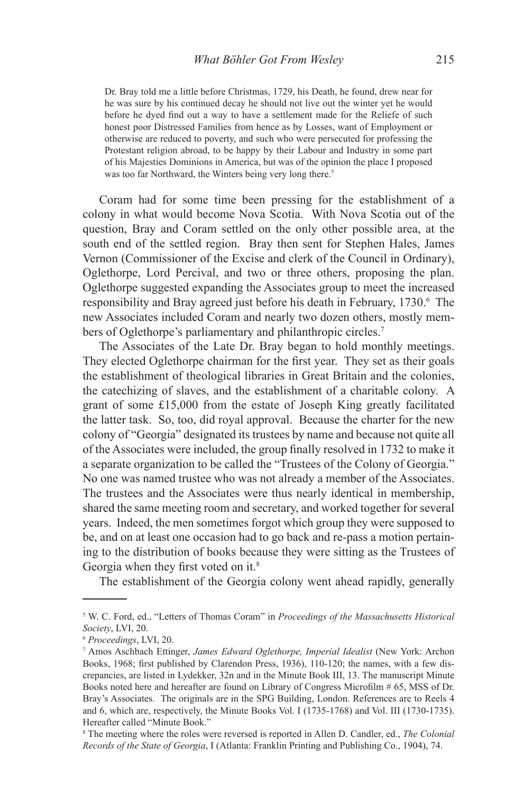Dr. Bray told me a little before Christmas, 1729, his Death, he found, drew near for he was sure by his continued decay he should not live out the winter yet he would before he dyed find out a way to have a settlement made for the Reliefe of such honest poor Distressed Families from hence as by Losses, want of Employment or otherwise are reduced to poverty, and such who were persecuted for professing the Protestant religion abroad, to be happy by their Labour and Industry in some part of his Majesties Dominions in America, but was of the opinion the place I proposed was too far Northward, the Winters being very long there.<sup>5</sup>

Coram had for some time been pressing for the establishment of a colony in what would become Nova Scotia. With Nova Scotia out of the question, Bray and Coram settled on the only other possible area, at the south end of the settled region. Bray then sent for Stephen Hales, James Vernon (Commissioner of the Excise and clerk of the Council in Ordinary), Oglethorpe, Lord Percival, and two or three others, proposing the plan. Oglethorpe suggested expanding the Associates group to meet the increased responsibility and Bray agreed just before his death in February, 1730.<sup>6</sup> The new Associates included Coram and nearly two dozen others, mostly members of Oglethorpe's parliamentary and philanthropic circles.<sup>7</sup>

The Associates of the Late Dr. Bray began to hold monthly meetings. They elected Oglethorpe chairman for the first year. They set as their goals the establishment of theological libraries in Great Britain and the colonies, the catechizing of slaves, and the establishment of a charitable colony. A grant of some £15,000 from the estate of Joseph King greatly facilitated the latter task. So, too, did royal approval. Because the charter for the new colony of "Georgia" designated its trustees by name and because not quite all of the Associates were included, the group finally resolved in 1732 to make it a separate organization to be called the "Trustees of the Colony of Georgia." No one was named trustee who was not already a member of the Associates. The trustees and the Associates were thus nearly identical in membership, shared the same meeting room and secretary, and worked together for several years. Indeed, the men sometimes forgot which group they were supposed to be, and on at least one occasion had to go back and re-pass a motion pertaining to the distribution of books because they were sitting as the Trustees of Georgia when they first voted on it.<sup>8</sup>

The establishment of the Georgia colony went ahead rapidly, generally

<sup>5</sup> W. C. Ford, ed., "Letters of Thomas Coram" in *Proceedings of the Massachusetts Historical Society*, LVI, 20.

<sup>6</sup> *Proceedings*, LVI, 20.

<sup>7</sup> Amos Aschbach Ettinger, *James Edward Oglethorpe, Imperial Idealist* (New York: Archon Books, 1968; first published by Clarendon Press, 1936), 110-120; the names, with a few discrepancies, are listed in Lydekker, 32n and in the Minute Book III, 13. The manuscript Minute Books noted here and hereafter are found on Library of Congress Microfilm # 65, MSS of Dr. Bray's Associates. The originals are in the SPG Building, London. References are to Reels 4 and 6, which are, respectively, the Minute Books Vol. I (1735-1768) and Vol. III (1730-1735). Hereafter called "Minute Book."

<sup>8</sup> The meeting where the roles were reversed is reported in Allen D. Candler, ed., *The Colonial Records of the State of Georgia*, I (Atlanta: Franklin Printing and Publishing Co., 1904), 74.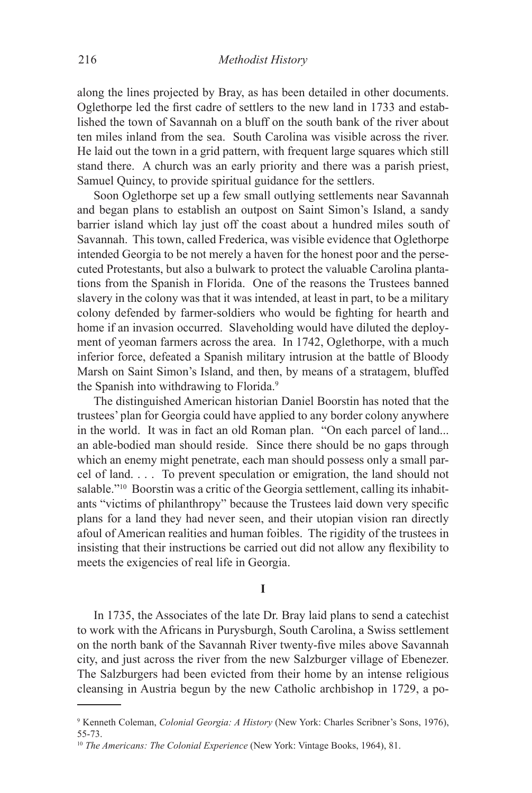along the lines projected by Bray, as has been detailed in other documents. Oglethorpe led the first cadre of settlers to the new land in 1733 and established the town of Savannah on a bluff on the south bank of the river about ten miles inland from the sea. South Carolina was visible across the river. He laid out the town in a grid pattern, with frequent large squares which still stand there. A church was an early priority and there was a parish priest, Samuel Quincy, to provide spiritual guidance for the settlers.

Soon Oglethorpe set up a few small outlying settlements near Savannah and began plans to establish an outpost on Saint Simon's Island, a sandy barrier island which lay just off the coast about a hundred miles south of Savannah. This town, called Frederica, was visible evidence that Oglethorpe intended Georgia to be not merely a haven for the honest poor and the persecuted Protestants, but also a bulwark to protect the valuable Carolina plantations from the Spanish in Florida. One of the reasons the Trustees banned slavery in the colony was that it was intended, at least in part, to be a military colony defended by farmer-soldiers who would be fighting for hearth and home if an invasion occurred. Slaveholding would have diluted the deployment of yeoman farmers across the area. In 1742, Oglethorpe, with a much inferior force, defeated a Spanish military intrusion at the battle of Bloody Marsh on Saint Simon's Island, and then, by means of a stratagem, bluffed the Spanish into withdrawing to Florida.<sup>9</sup>

The distinguished American historian Daniel Boorstin has noted that the trustees' plan for Georgia could have applied to any border colony anywhere in the world. It was in fact an old Roman plan. "On each parcel of land... an able-bodied man should reside. Since there should be no gaps through which an enemy might penetrate, each man should possess only a small parcel of land. . . . To prevent speculation or emigration, the land should not salable."<sup>10</sup> Boorstin was a critic of the Georgia settlement, calling its inhabitants "victims of philanthropy" because the Trustees laid down very specific plans for a land they had never seen, and their utopian vision ran directly afoul of American realities and human foibles. The rigidity of the trustees in insisting that their instructions be carried out did not allow any flexibility to meets the exigencies of real life in Georgia.

## **I**

In 1735, the Associates of the late Dr. Bray laid plans to send a catechist to work with the Africans in Purysburgh, South Carolina, a Swiss settlement on the north bank of the Savannah River twenty-five miles above Savannah city, and just across the river from the new Salzburger village of Ebenezer. The Salzburgers had been evicted from their home by an intense religious cleansing in Austria begun by the new Catholic archbishop in 1729, a po-

<sup>9</sup> Kenneth Coleman, *Colonial Georgia: A History* (New York: Charles Scribner's Sons, 1976), 55-73.

<sup>&</sup>lt;sup>10</sup> The Americans: The Colonial Experience (New York: Vintage Books, 1964), 81.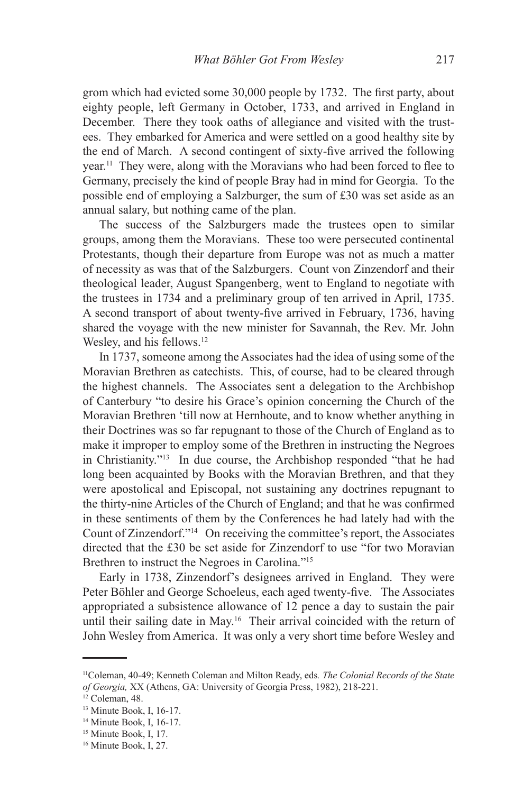grom which had evicted some 30,000 people by 1732. The first party, about eighty people, left Germany in October, 1733, and arrived in England in December. There they took oaths of allegiance and visited with the trustees. They embarked for America and were settled on a good healthy site by the end of March. A second contingent of sixty-five arrived the following year.11 They were, along with the Moravians who had been forced to flee to Germany, precisely the kind of people Bray had in mind for Georgia. To the possible end of employing a Salzburger, the sum of £30 was set aside as an annual salary, but nothing came of the plan.

The success of the Salzburgers made the trustees open to similar groups, among them the Moravians. These too were persecuted continental Protestants, though their departure from Europe was not as much a matter of necessity as was that of the Salzburgers. Count von Zinzendorf and their theological leader, August Spangenberg, went to England to negotiate with the trustees in 1734 and a preliminary group of ten arrived in April, 1735. A second transport of about twenty-five arrived in February, 1736, having shared the voyage with the new minister for Savannah, the Rev. Mr. John Wesley, and his fellows.<sup>12</sup>

In 1737, someone among the Associates had the idea of using some of the Moravian Brethren as catechists. This, of course, had to be cleared through the highest channels. The Associates sent a delegation to the Archbishop of Canterbury "to desire his Grace's opinion concerning the Church of the Moravian Brethren 'till now at Hernhoute, and to know whether anything in their Doctrines was so far repugnant to those of the Church of England as to make it improper to employ some of the Brethren in instructing the Negroes in Christianity."13 In due course, the Archbishop responded "that he had long been acquainted by Books with the Moravian Brethren, and that they were apostolical and Episcopal, not sustaining any doctrines repugnant to the thirty-nine Articles of the Church of England; and that he was confirmed in these sentiments of them by the Conferences he had lately had with the Count of Zinzendorf."14 On receiving the committee's report, the Associates directed that the £30 be set aside for Zinzendorf to use "for two Moravian Brethren to instruct the Negroes in Carolina."15

Early in 1738, Zinzendorf's designees arrived in England. They were Peter Böhler and George Schoeleus, each aged twenty-five. The Associates appropriated a subsistence allowance of 12 pence a day to sustain the pair until their sailing date in May.16 Their arrival coincided with the return of John Wesley from America. It was only a very short time before Wesley and

<sup>11</sup>Coleman, 40-49; Kenneth Coleman and Milton Ready, eds*. The Colonial Records of the State of Georgia,* XX (Athens, GA: University of Georgia Press, 1982), 218-221.

<sup>&</sup>lt;sup>12</sup> Coleman, 48.

<sup>13</sup> Minute Book, I, 16-17.

<sup>14</sup> Minute Book, I, 16-17.

<sup>&</sup>lt;sup>15</sup> Minute Book, I, 17.

<sup>&</sup>lt;sup>16</sup> Minute Book, I, 27.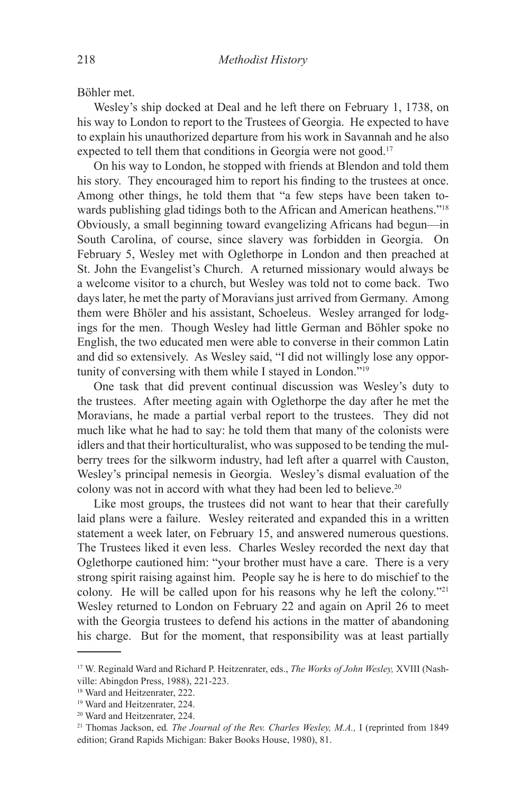Böhler met.

Wesley's ship docked at Deal and he left there on February 1, 1738, on his way to London to report to the Trustees of Georgia. He expected to have to explain his unauthorized departure from his work in Savannah and he also expected to tell them that conditions in Georgia were not good.<sup>17</sup>

On his way to London, he stopped with friends at Blendon and told them his story. They encouraged him to report his finding to the trustees at once. Among other things, he told them that "a few steps have been taken towards publishing glad tidings both to the African and American heathens."18 Obviously, a small beginning toward evangelizing Africans had begun—in South Carolina, of course, since slavery was forbidden in Georgia. On February 5, Wesley met with Oglethorpe in London and then preached at St. John the Evangelist's Church. A returned missionary would always be a welcome visitor to a church, but Wesley was told not to come back. Two days later, he met the party of Moravians just arrived from Germany. Among them were Bhöler and his assistant, Schoeleus. Wesley arranged for lodgings for the men. Though Wesley had little German and Böhler spoke no English, the two educated men were able to converse in their common Latin and did so extensively. As Wesley said, "I did not willingly lose any opportunity of conversing with them while I stayed in London."19

One task that did prevent continual discussion was Wesley's duty to the trustees. After meeting again with Oglethorpe the day after he met the Moravians, he made a partial verbal report to the trustees. They did not much like what he had to say: he told them that many of the colonists were idlers and that their horticulturalist, who was supposed to be tending the mulberry trees for the silkworm industry, had left after a quarrel with Causton, Wesley's principal nemesis in Georgia. Wesley's dismal evaluation of the colony was not in accord with what they had been led to believe.20

Like most groups, the trustees did not want to hear that their carefully laid plans were a failure. Wesley reiterated and expanded this in a written statement a week later, on February 15, and answered numerous questions. The Trustees liked it even less. Charles Wesley recorded the next day that Oglethorpe cautioned him: "your brother must have a care. There is a very strong spirit raising against him. People say he is here to do mischief to the colony. He will be called upon for his reasons why he left the colony."21 Wesley returned to London on February 22 and again on April 26 to meet with the Georgia trustees to defend his actions in the matter of abandoning his charge. But for the moment, that responsibility was at least partially

<sup>17</sup> W. Reginald Ward and Richard P. Heitzenrater, eds., *The Works of John Wesley,* XVIII (Nashville: Abingdon Press, 1988), 221-223.

<sup>18</sup> Ward and Heitzenrater, 222.

<sup>19</sup> Ward and Heitzenrater, 224.

<sup>20</sup> Ward and Heitzenrater, 224.

<sup>21</sup> Thomas Jackson, ed*. The Journal of the Rev. Charles Wesley, M.A.,* I (reprinted from 1849 edition; Grand Rapids Michigan: Baker Books House, 1980), 81.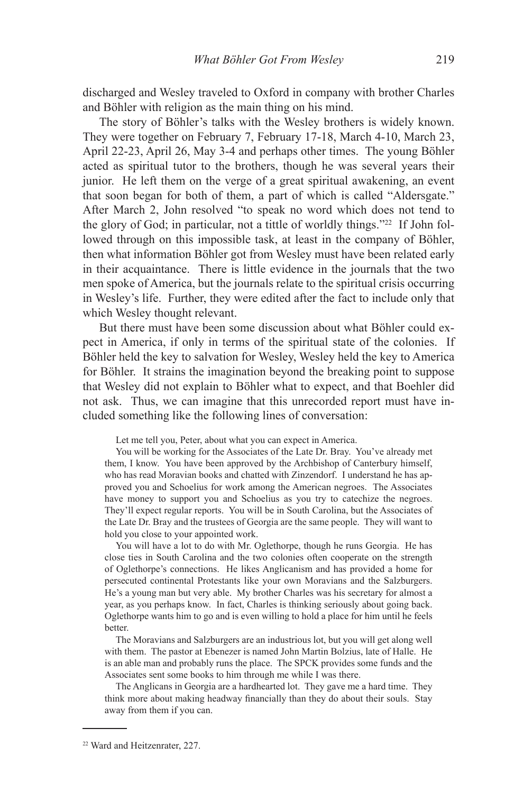discharged and Wesley traveled to Oxford in company with brother Charles and Böhler with religion as the main thing on his mind.

The story of Böhler's talks with the Wesley brothers is widely known. They were together on February 7, February 17-18, March 4-10, March 23, April 22-23, April 26, May 3-4 and perhaps other times. The young Böhler acted as spiritual tutor to the brothers, though he was several years their junior. He left them on the verge of a great spiritual awakening, an event that soon began for both of them, a part of which is called "Aldersgate." After March 2, John resolved "to speak no word which does not tend to the glory of God; in particular, not a tittle of worldly things."22 If John followed through on this impossible task, at least in the company of Böhler, then what information Böhler got from Wesley must have been related early in their acquaintance. There is little evidence in the journals that the two men spoke of America, but the journals relate to the spiritual crisis occurring in Wesley's life. Further, they were edited after the fact to include only that which Wesley thought relevant.

But there must have been some discussion about what Böhler could expect in America, if only in terms of the spiritual state of the colonies. If Böhler held the key to salvation for Wesley, Wesley held the key to America for Böhler. It strains the imagination beyond the breaking point to suppose that Wesley did not explain to Böhler what to expect, and that Boehler did not ask. Thus, we can imagine that this unrecorded report must have included something like the following lines of conversation:

Let me tell you, Peter, about what you can expect in America.

You will be working for the Associates of the Late Dr. Bray. You've already met them, I know. You have been approved by the Archbishop of Canterbury himself, who has read Moravian books and chatted with Zinzendorf. I understand he has approved you and Schoelius for work among the American negroes. The Associates have money to support you and Schoelius as you try to catechize the negroes. They'll expect regular reports. You will be in South Carolina, but the Associates of the Late Dr. Bray and the trustees of Georgia are the same people. They will want to hold you close to your appointed work.

You will have a lot to do with Mr. Oglethorpe, though he runs Georgia. He has close ties in South Carolina and the two colonies often cooperate on the strength of Oglethorpe's connections. He likes Anglicanism and has provided a home for persecuted continental Protestants like your own Moravians and the Salzburgers. He's a young man but very able. My brother Charles was his secretary for almost a year, as you perhaps know. In fact, Charles is thinking seriously about going back. Oglethorpe wants him to go and is even willing to hold a place for him until he feels better.

The Moravians and Salzburgers are an industrious lot, but you will get along well with them. The pastor at Ebenezer is named John Martin Bolzius, late of Halle. He is an able man and probably runs the place. The SPCK provides some funds and the Associates sent some books to him through me while I was there.

The Anglicans in Georgia are a hardhearted lot. They gave me a hard time. They think more about making headway financially than they do about their souls. Stay away from them if you can.

<sup>22</sup> Ward and Heitzenrater, 227.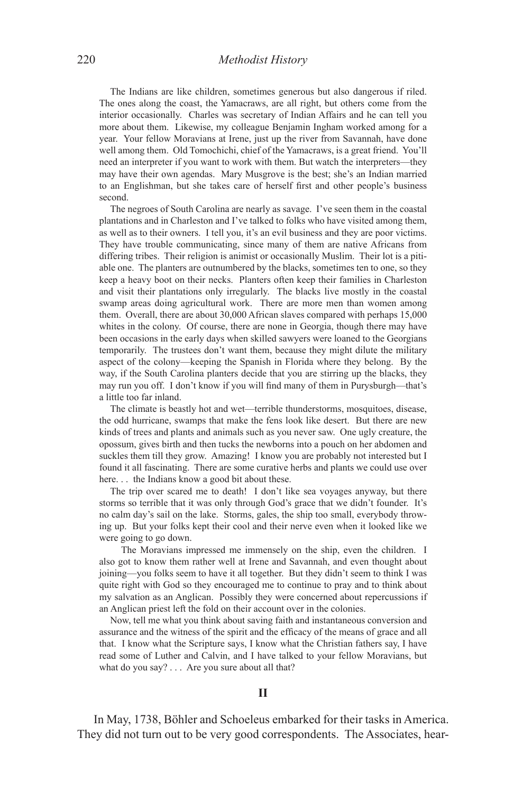The Indians are like children, sometimes generous but also dangerous if riled. The ones along the coast, the Yamacraws, are all right, but others come from the interior occasionally. Charles was secretary of Indian Affairs and he can tell you more about them. Likewise, my colleague Benjamin Ingham worked among for a year. Your fellow Moravians at Irene, just up the river from Savannah, have done well among them. Old Tomochichi, chief of the Yamacraws, is a great friend. You'll need an interpreter if you want to work with them. But watch the interpreters—they may have their own agendas. Mary Musgrove is the best; she's an Indian married to an Englishman, but she takes care of herself first and other people's business second.

The negroes of South Carolina are nearly as savage. I've seen them in the coastal plantations and in Charleston and I've talked to folks who have visited among them, as well as to their owners. I tell you, it's an evil business and they are poor victims. They have trouble communicating, since many of them are native Africans from differing tribes. Their religion is animist or occasionally Muslim. Their lot is a pitiable one. The planters are outnumbered by the blacks, sometimes ten to one, so they keep a heavy boot on their necks. Planters often keep their families in Charleston and visit their plantations only irregularly. The blacks live mostly in the coastal swamp areas doing agricultural work. There are more men than women among them. Overall, there are about 30,000 African slaves compared with perhaps 15,000 whites in the colony. Of course, there are none in Georgia, though there may have been occasions in the early days when skilled sawyers were loaned to the Georgians temporarily. The trustees don't want them, because they might dilute the military aspect of the colony—keeping the Spanish in Florida where they belong. By the way, if the South Carolina planters decide that you are stirring up the blacks, they may run you off. I don't know if you will find many of them in Purysburgh—that's a little too far inland.

The climate is beastly hot and wet—terrible thunderstorms, mosquitoes, disease, the odd hurricane, swamps that make the fens look like desert. But there are new kinds of trees and plants and animals such as you never saw. One ugly creature, the opossum, gives birth and then tucks the newborns into a pouch on her abdomen and suckles them till they grow. Amazing! I know you are probably not interested but I found it all fascinating. There are some curative herbs and plants we could use over here. . . the Indians know a good bit about these.

The trip over scared me to death! I don't like sea voyages anyway, but there storms so terrible that it was only through God's grace that we didn't founder. It's no calm day's sail on the lake. Storms, gales, the ship too small, everybody throwing up. But your folks kept their cool and their nerve even when it looked like we were going to go down.

The Moravians impressed me immensely on the ship, even the children. I also got to know them rather well at Irene and Savannah, and even thought about joining—you folks seem to have it all together. But they didn't seem to think I was quite right with God so they encouraged me to continue to pray and to think about my salvation as an Anglican. Possibly they were concerned about repercussions if an Anglican priest left the fold on their account over in the colonies.

Now, tell me what you think about saving faith and instantaneous conversion and assurance and the witness of the spirit and the efficacy of the means of grace and all that. I know what the Scripture says, I know what the Christian fathers say, I have read some of Luther and Calvin, and I have talked to your fellow Moravians, but what do you say? . . . Are you sure about all that?

In May, 1738, Böhler and Schoeleus embarked for their tasks in America. They did not turn out to be very good correspondents. The Associates, hear-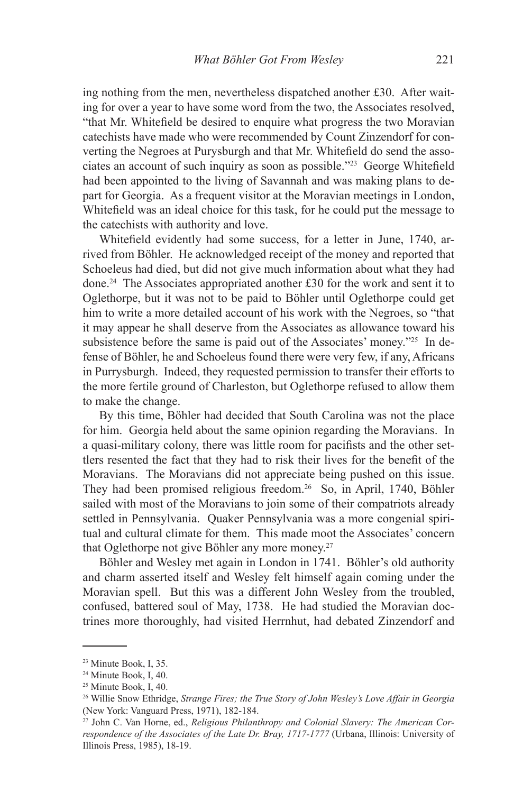ing nothing from the men, nevertheless dispatched another £30. After waiting for over a year to have some word from the two, the Associates resolved, "that Mr. Whitefield be desired to enquire what progress the two Moravian catechists have made who were recommended by Count Zinzendorf for converting the Negroes at Purysburgh and that Mr. Whitefield do send the associates an account of such inquiry as soon as possible."23 George Whitefield had been appointed to the living of Savannah and was making plans to depart for Georgia. As a frequent visitor at the Moravian meetings in London, Whitefield was an ideal choice for this task, for he could put the message to the catechists with authority and love.

Whitefield evidently had some success, for a letter in June, 1740, arrived from Böhler. He acknowledged receipt of the money and reported that Schoeleus had died, but did not give much information about what they had done.24 The Associates appropriated another £30 for the work and sent it to Oglethorpe, but it was not to be paid to Böhler until Oglethorpe could get him to write a more detailed account of his work with the Negroes, so "that it may appear he shall deserve from the Associates as allowance toward his subsistence before the same is paid out of the Associates' money."25 In defense of Böhler, he and Schoeleus found there were very few, if any, Africans in Purrysburgh. Indeed, they requested permission to transfer their efforts to the more fertile ground of Charleston, but Oglethorpe refused to allow them to make the change.

By this time, Böhler had decided that South Carolina was not the place for him. Georgia held about the same opinion regarding the Moravians. In a quasi-military colony, there was little room for pacifists and the other settlers resented the fact that they had to risk their lives for the benefit of the Moravians. The Moravians did not appreciate being pushed on this issue. They had been promised religious freedom.<sup>26</sup> So, in April, 1740, Böhler sailed with most of the Moravians to join some of their compatriots already settled in Pennsylvania. Quaker Pennsylvania was a more congenial spiritual and cultural climate for them. This made moot the Associates' concern that Oglethorpe not give Böhler any more money.<sup>27</sup>

Böhler and Wesley met again in London in 1741. Böhler's old authority and charm asserted itself and Wesley felt himself again coming under the Moravian spell. But this was a different John Wesley from the troubled, confused, battered soul of May, 1738. He had studied the Moravian doctrines more thoroughly, had visited Herrnhut, had debated Zinzendorf and

<sup>23</sup> Minute Book, I, 35.

<sup>24</sup> Minute Book, I, 40.

<sup>25</sup> Minute Book, I, 40.

<sup>26</sup> Willie Snow Ethridge, *Strange Fires; the True Story of John Wesley's Love Affair in Georgia* (New York: Vanguard Press, 1971), 182-184.

<sup>27</sup> John C. Van Horne, ed., *Religious Philanthropy and Colonial Slavery: The American Correspondence of the Associates of the Late Dr. Bray, 1717-1777* (Urbana, Illinois: University of Illinois Press, 1985), 18-19.